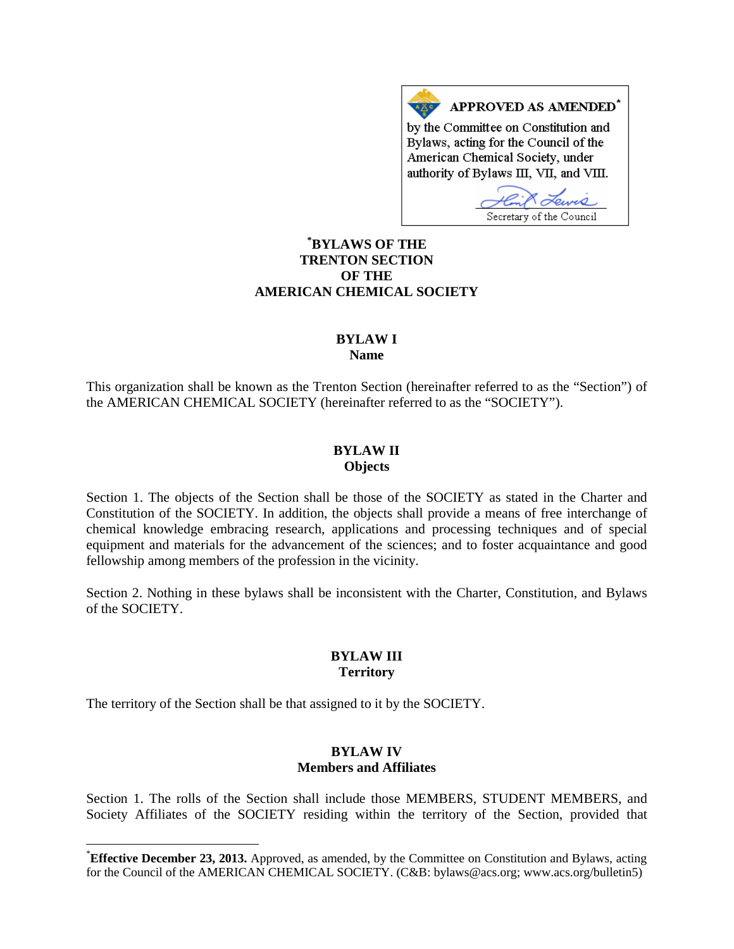APPROVED AS AMENDED\* by the Committee on Constitution and Bylaws, acting for the Council of the American Chemical Society, under authority of Bylaws III, VII, and VIII.

Secretary of the Council

# **[\\*](#page-0-0) BYLAWS OF THE TRENTON SECTION OF THE AMERICAN CHEMICAL SOCIETY**

### **BYLAW I Name**

This organization shall be known as the Trenton Section (hereinafter referred to as the "Section") of the AMERICAN CHEMICAL SOCIETY (hereinafter referred to as the "SOCIETY").

## **BYLAW II Objects**

Section 1. The objects of the Section shall be those of the SOCIETY as stated in the Charter and Constitution of the SOCIETY. In addition, the objects shall provide a means of free interchange of chemical knowledge embracing research, applications and processing techniques and of special equipment and materials for the advancement of the sciences; and to foster acquaintance and good fellowship among members of the profession in the vicinity.

Section 2. Nothing in these bylaws shall be inconsistent with the Charter, Constitution, and Bylaws of the SOCIETY.

#### **BYLAW III Territory**

The territory of the Section shall be that assigned to it by the SOCIETY.

# **BYLAW IV Members and Affiliates**

Section 1. The rolls of the Section shall include those MEMBERS, STUDENT MEMBERS, and Society Affiliates of the SOCIETY residing within the territory of the Section, provided that

<span id="page-0-0"></span> <sup>\*</sup> **Effective December 23, 2013.** Approved, as amended, by the Committee on Constitution and Bylaws, acting for the Council of the AMERICAN CHEMICAL SOCIETY. (C&B: bylaws@acs.org; www.acs.org/bulletin5)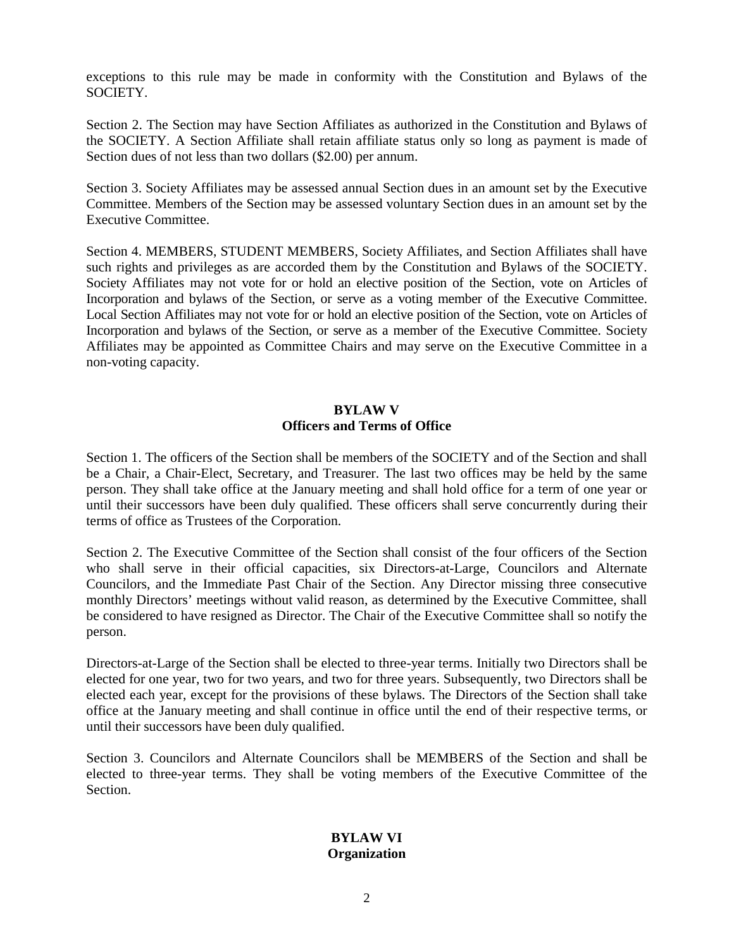exceptions to this rule may be made in conformity with the Constitution and Bylaws of the SOCIETY.

Section 2. The Section may have Section Affiliates as authorized in the Constitution and Bylaws of the SOCIETY. A Section Affiliate shall retain affiliate status only so long as payment is made of Section dues of not less than two dollars (\$2.00) per annum.

Section 3. Society Affiliates may be assessed annual Section dues in an amount set by the Executive Committee. Members of the Section may be assessed voluntary Section dues in an amount set by the Executive Committee.

Section 4. MEMBERS, STUDENT MEMBERS, Society Affiliates, and Section Affiliates shall have such rights and privileges as are accorded them by the Constitution and Bylaws of the SOCIETY. Society Affiliates may not vote for or hold an elective position of the Section, vote on Articles of Incorporation and bylaws of the Section, or serve as a voting member of the Executive Committee. Local Section Affiliates may not vote for or hold an elective position of the Section, vote on Articles of Incorporation and bylaws of the Section, or serve as a member of the Executive Committee. Society Affiliates may be appointed as Committee Chairs and may serve on the Executive Committee in a non-voting capacity.

## **BYLAW V Officers and Terms of Office**

Section 1. The officers of the Section shall be members of the SOCIETY and of the Section and shall be a Chair, a Chair-Elect, Secretary, and Treasurer. The last two offices may be held by the same person. They shall take office at the January meeting and shall hold office for a term of one year or until their successors have been duly qualified. These officers shall serve concurrently during their terms of office as Trustees of the Corporation.

Section 2. The Executive Committee of the Section shall consist of the four officers of the Section who shall serve in their official capacities, six Directors-at-Large, Councilors and Alternate Councilors, and the Immediate Past Chair of the Section. Any Director missing three consecutive monthly Directors' meetings without valid reason, as determined by the Executive Committee, shall be considered to have resigned as Director. The Chair of the Executive Committee shall so notify the person.

Directors-at-Large of the Section shall be elected to three-year terms. Initially two Directors shall be elected for one year, two for two years, and two for three years. Subsequently, two Directors shall be elected each year, except for the provisions of these bylaws. The Directors of the Section shall take office at the January meeting and shall continue in office until the end of their respective terms, or until their successors have been duly qualified.

Section 3. Councilors and Alternate Councilors shall be MEMBERS of the Section and shall be elected to three-year terms. They shall be voting members of the Executive Committee of the Section.

## **BYLAW VI Organization**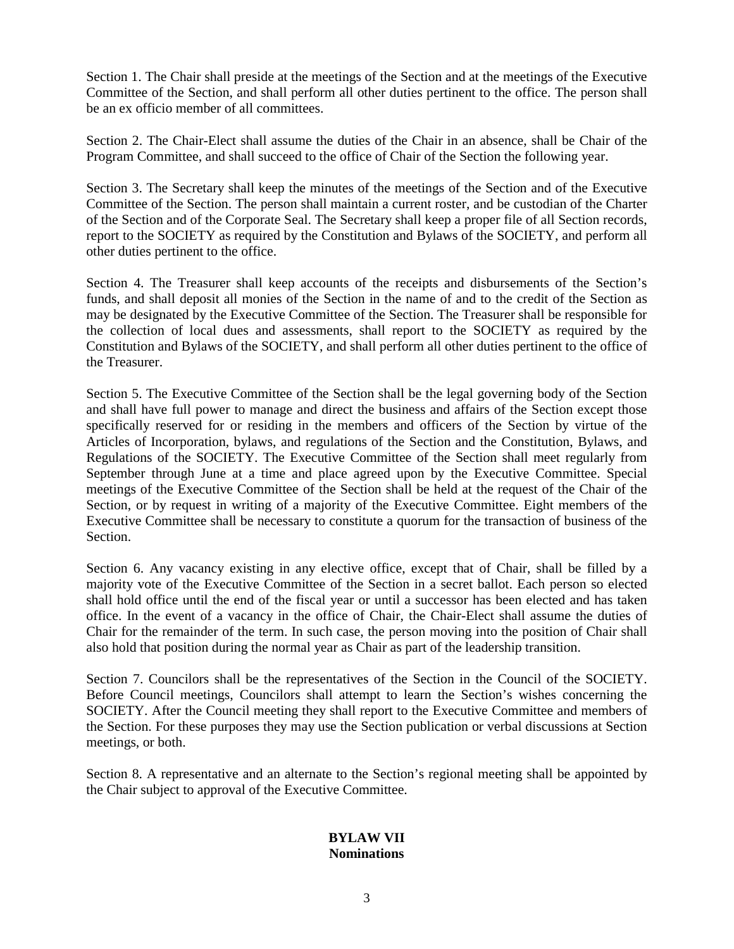Section 1. The Chair shall preside at the meetings of the Section and at the meetings of the Executive Committee of the Section, and shall perform all other duties pertinent to the office. The person shall be an ex officio member of all committees.

Section 2. The Chair-Elect shall assume the duties of the Chair in an absence, shall be Chair of the Program Committee, and shall succeed to the office of Chair of the Section the following year.

Section 3. The Secretary shall keep the minutes of the meetings of the Section and of the Executive Committee of the Section. The person shall maintain a current roster, and be custodian of the Charter of the Section and of the Corporate Seal. The Secretary shall keep a proper file of all Section records, report to the SOCIETY as required by the Constitution and Bylaws of the SOCIETY, and perform all other duties pertinent to the office.

Section 4. The Treasurer shall keep accounts of the receipts and disbursements of the Section's funds, and shall deposit all monies of the Section in the name of and to the credit of the Section as may be designated by the Executive Committee of the Section. The Treasurer shall be responsible for the collection of local dues and assessments, shall report to the SOCIETY as required by the Constitution and Bylaws of the SOCIETY, and shall perform all other duties pertinent to the office of the Treasurer.

Section 5. The Executive Committee of the Section shall be the legal governing body of the Section and shall have full power to manage and direct the business and affairs of the Section except those specifically reserved for or residing in the members and officers of the Section by virtue of the Articles of Incorporation, bylaws, and regulations of the Section and the Constitution, Bylaws, and Regulations of the SOCIETY. The Executive Committee of the Section shall meet regularly from September through June at a time and place agreed upon by the Executive Committee. Special meetings of the Executive Committee of the Section shall be held at the request of the Chair of the Section, or by request in writing of a majority of the Executive Committee. Eight members of the Executive Committee shall be necessary to constitute a quorum for the transaction of business of the Section.

Section 6. Any vacancy existing in any elective office, except that of Chair, shall be filled by a majority vote of the Executive Committee of the Section in a secret ballot. Each person so elected shall hold office until the end of the fiscal year or until a successor has been elected and has taken office. In the event of a vacancy in the office of Chair, the Chair-Elect shall assume the duties of Chair for the remainder of the term. In such case, the person moving into the position of Chair shall also hold that position during the normal year as Chair as part of the leadership transition.

Section 7. Councilors shall be the representatives of the Section in the Council of the SOCIETY. Before Council meetings, Councilors shall attempt to learn the Section's wishes concerning the SOCIETY. After the Council meeting they shall report to the Executive Committee and members of the Section. For these purposes they may use the Section publication or verbal discussions at Section meetings, or both.

Section 8. A representative and an alternate to the Section's regional meeting shall be appointed by the Chair subject to approval of the Executive Committee.

#### **BYLAW VII Nominations**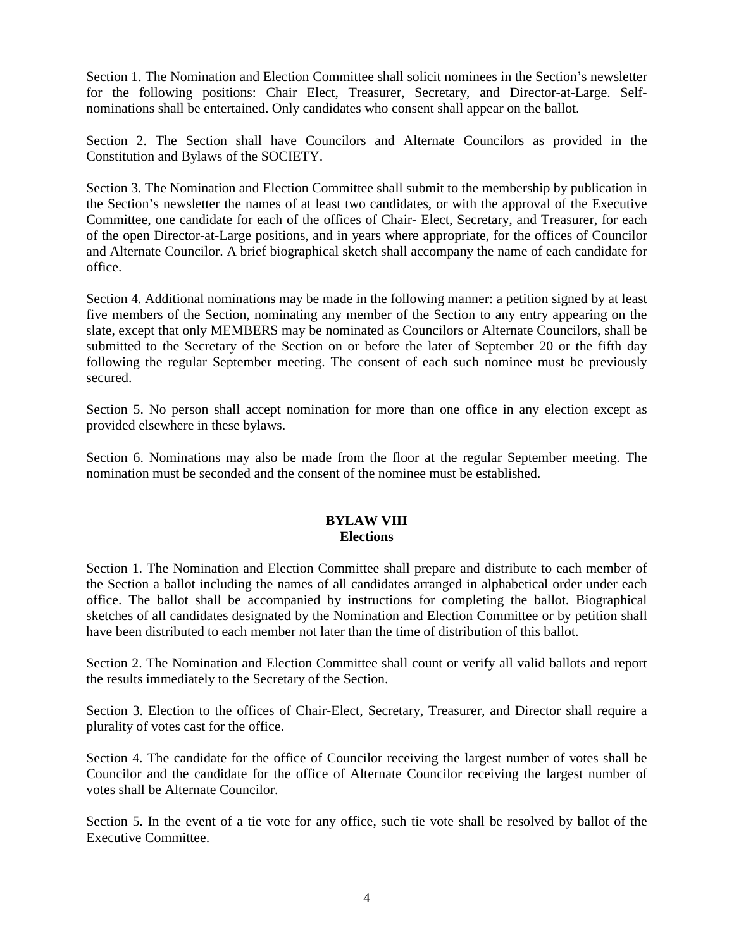Section 1. The Nomination and Election Committee shall solicit nominees in the Section's newsletter for the following positions: Chair Elect, Treasurer, Secretary, and Director-at-Large. Selfnominations shall be entertained. Only candidates who consent shall appear on the ballot.

Section 2. The Section shall have Councilors and Alternate Councilors as provided in the Constitution and Bylaws of the SOCIETY.

Section 3. The Nomination and Election Committee shall submit to the membership by publication in the Section's newsletter the names of at least two candidates, or with the approval of the Executive Committee, one candidate for each of the offices of Chair- Elect, Secretary, and Treasurer, for each of the open Director-at-Large positions, and in years where appropriate, for the offices of Councilor and Alternate Councilor. A brief biographical sketch shall accompany the name of each candidate for office.

Section 4. Additional nominations may be made in the following manner: a petition signed by at least five members of the Section, nominating any member of the Section to any entry appearing on the slate, except that only MEMBERS may be nominated as Councilors or Alternate Councilors, shall be submitted to the Secretary of the Section on or before the later of September 20 or the fifth day following the regular September meeting. The consent of each such nominee must be previously secured.

Section 5. No person shall accept nomination for more than one office in any election except as provided elsewhere in these bylaws.

Section 6. Nominations may also be made from the floor at the regular September meeting. The nomination must be seconded and the consent of the nominee must be established.

## **BYLAW VIII Elections**

Section 1. The Nomination and Election Committee shall prepare and distribute to each member of the Section a ballot including the names of all candidates arranged in alphabetical order under each office. The ballot shall be accompanied by instructions for completing the ballot. Biographical sketches of all candidates designated by the Nomination and Election Committee or by petition shall have been distributed to each member not later than the time of distribution of this ballot.

Section 2. The Nomination and Election Committee shall count or verify all valid ballots and report the results immediately to the Secretary of the Section.

Section 3. Election to the offices of Chair-Elect, Secretary, Treasurer, and Director shall require a plurality of votes cast for the office.

Section 4. The candidate for the office of Councilor receiving the largest number of votes shall be Councilor and the candidate for the office of Alternate Councilor receiving the largest number of votes shall be Alternate Councilor.

Section 5. In the event of a tie vote for any office, such tie vote shall be resolved by ballot of the Executive Committee.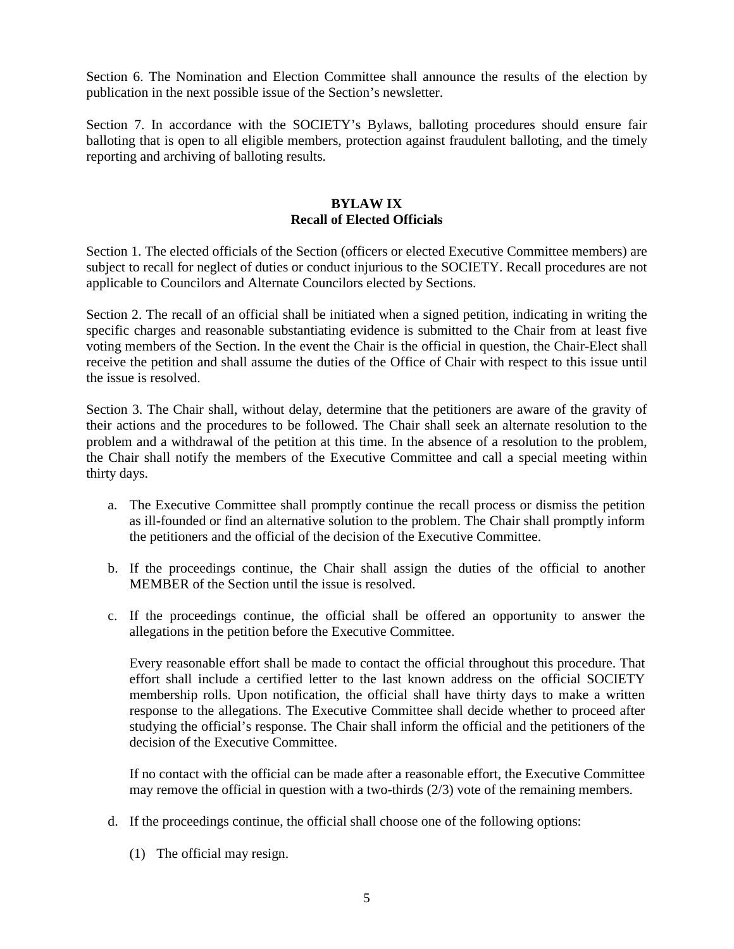Section 6. The Nomination and Election Committee shall announce the results of the election by publication in the next possible issue of the Section's newsletter.

Section 7. In accordance with the SOCIETY's Bylaws, balloting procedures should ensure fair balloting that is open to all eligible members, protection against fraudulent balloting, and the timely reporting and archiving of balloting results.

### **BYLAW IX Recall of Elected Officials**

Section 1. The elected officials of the Section (officers or elected Executive Committee members) are subject to recall for neglect of duties or conduct injurious to the SOCIETY. Recall procedures are not applicable to Councilors and Alternate Councilors elected by Sections.

Section 2. The recall of an official shall be initiated when a signed petition, indicating in writing the specific charges and reasonable substantiating evidence is submitted to the Chair from at least five voting members of the Section. In the event the Chair is the official in question, the Chair-Elect shall receive the petition and shall assume the duties of the Office of Chair with respect to this issue until the issue is resolved.

Section 3. The Chair shall, without delay, determine that the petitioners are aware of the gravity of their actions and the procedures to be followed. The Chair shall seek an alternate resolution to the problem and a withdrawal of the petition at this time. In the absence of a resolution to the problem, the Chair shall notify the members of the Executive Committee and call a special meeting within thirty days.

- a. The Executive Committee shall promptly continue the recall process or dismiss the petition as ill-founded or find an alternative solution to the problem. The Chair shall promptly inform the petitioners and the official of the decision of the Executive Committee.
- b. If the proceedings continue, the Chair shall assign the duties of the official to another MEMBER of the Section until the issue is resolved.
- c. If the proceedings continue, the official shall be offered an opportunity to answer the allegations in the petition before the Executive Committee.

Every reasonable effort shall be made to contact the official throughout this procedure. That effort shall include a certified letter to the last known address on the official SOCIETY membership rolls. Upon notification, the official shall have thirty days to make a written response to the allegations. The Executive Committee shall decide whether to proceed after studying the official's response. The Chair shall inform the official and the petitioners of the decision of the Executive Committee.

If no contact with the official can be made after a reasonable effort, the Executive Committee may remove the official in question with a two-thirds (2/3) vote of the remaining members.

- d. If the proceedings continue, the official shall choose one of the following options:
	- (1) The official may resign.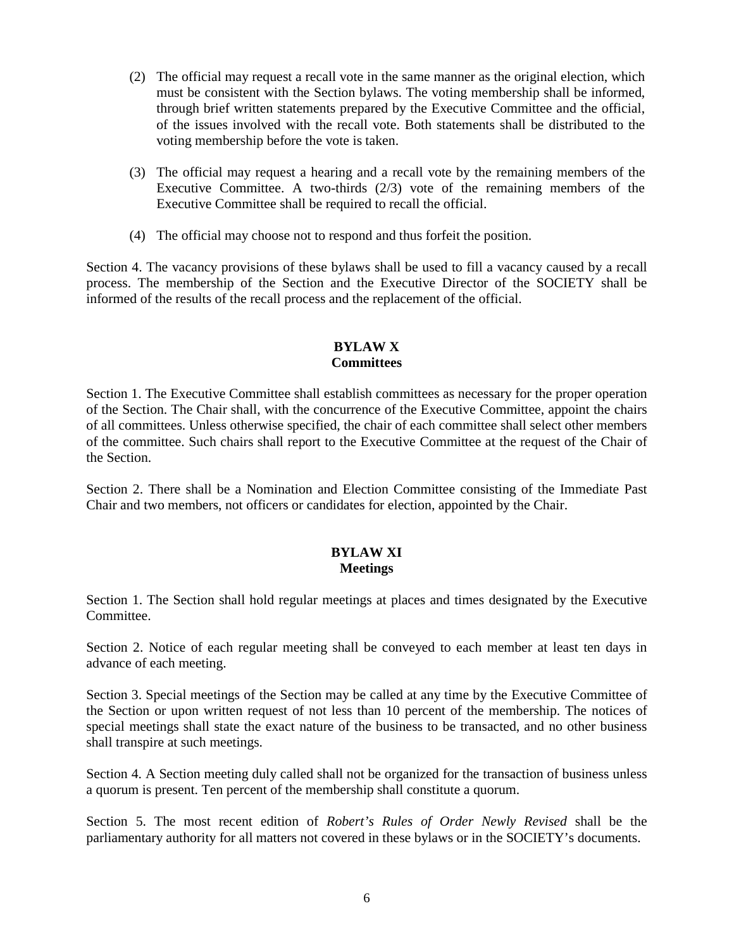- (2) The official may request a recall vote in the same manner as the original election, which must be consistent with the Section bylaws. The voting membership shall be informed, through brief written statements prepared by the Executive Committee and the official, of the issues involved with the recall vote. Both statements shall be distributed to the voting membership before the vote is taken.
- (3) The official may request a hearing and a recall vote by the remaining members of the Executive Committee. A two-thirds (2/3) vote of the remaining members of the Executive Committee shall be required to recall the official.
- (4) The official may choose not to respond and thus forfeit the position.

Section 4. The vacancy provisions of these bylaws shall be used to fill a vacancy caused by a recall process. The membership of the Section and the Executive Director of the SOCIETY shall be informed of the results of the recall process and the replacement of the official.

# **BYLAW X Committees**

Section 1. The Executive Committee shall establish committees as necessary for the proper operation of the Section. The Chair shall, with the concurrence of the Executive Committee, appoint the chairs of all committees. Unless otherwise specified, the chair of each committee shall select other members of the committee. Such chairs shall report to the Executive Committee at the request of the Chair of the Section.

Section 2. There shall be a Nomination and Election Committee consisting of the Immediate Past Chair and two members, not officers or candidates for election, appointed by the Chair.

# **BYLAW XI Meetings**

Section 1. The Section shall hold regular meetings at places and times designated by the Executive Committee.

Section 2. Notice of each regular meeting shall be conveyed to each member at least ten days in advance of each meeting.

Section 3. Special meetings of the Section may be called at any time by the Executive Committee of the Section or upon written request of not less than 10 percent of the membership. The notices of special meetings shall state the exact nature of the business to be transacted, and no other business shall transpire at such meetings.

Section 4. A Section meeting duly called shall not be organized for the transaction of business unless a quorum is present. Ten percent of the membership shall constitute a quorum.

Section 5. The most recent edition of *Robert's Rules of Order Newly Revised* shall be the parliamentary authority for all matters not covered in these bylaws or in the SOCIETY's documents.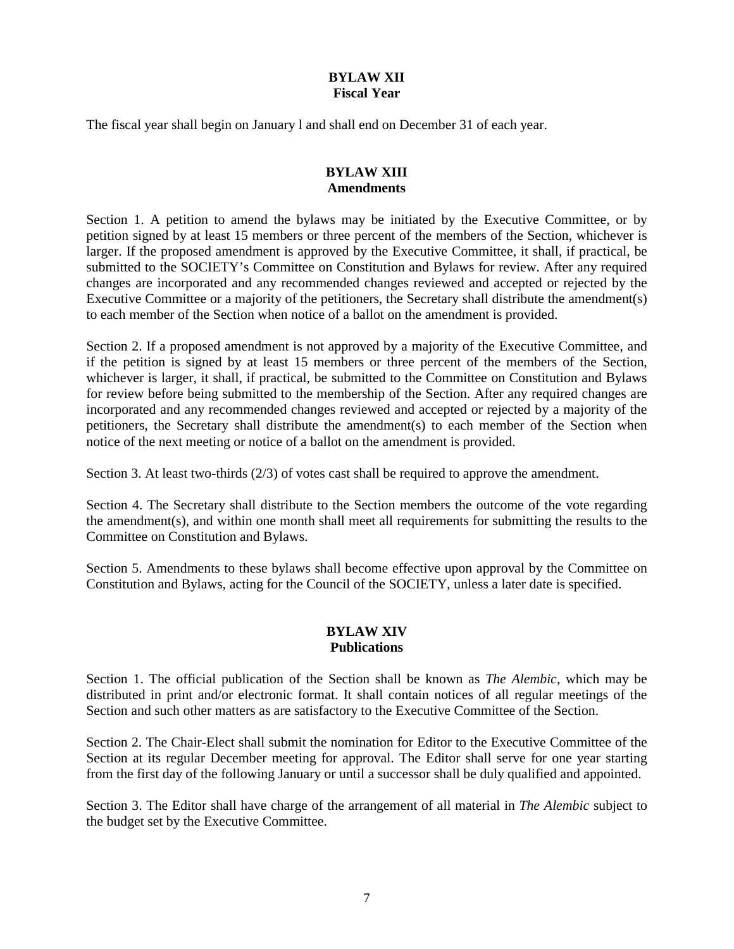# **BYLAW XII Fiscal Year**

The fiscal year shall begin on January l and shall end on December 31 of each year.

# **BYLAW XIII Amendments**

Section 1. A petition to amend the bylaws may be initiated by the Executive Committee, or by petition signed by at least 15 members or three percent of the members of the Section, whichever is larger. If the proposed amendment is approved by the Executive Committee, it shall, if practical, be submitted to the SOCIETY's Committee on Constitution and Bylaws for review. After any required changes are incorporated and any recommended changes reviewed and accepted or rejected by the Executive Committee or a majority of the petitioners, the Secretary shall distribute the amendment(s) to each member of the Section when notice of a ballot on the amendment is provided.

Section 2. If a proposed amendment is not approved by a majority of the Executive Committee, and if the petition is signed by at least 15 members or three percent of the members of the Section, whichever is larger, it shall, if practical, be submitted to the Committee on Constitution and Bylaws for review before being submitted to the membership of the Section. After any required changes are incorporated and any recommended changes reviewed and accepted or rejected by a majority of the petitioners, the Secretary shall distribute the amendment(s) to each member of the Section when notice of the next meeting or notice of a ballot on the amendment is provided.

Section 3. At least two-thirds (2/3) of votes cast shall be required to approve the amendment.

Section 4. The Secretary shall distribute to the Section members the outcome of the vote regarding the amendment(s), and within one month shall meet all requirements for submitting the results to the Committee on Constitution and Bylaws.

Section 5. Amendments to these bylaws shall become effective upon approval by the Committee on Constitution and Bylaws, acting for the Council of the SOCIETY, unless a later date is specified.

#### **BYLAW XIV Publications**

Section 1. The official publication of the Section shall be known as *The Alembic*, which may be distributed in print and/or electronic format. It shall contain notices of all regular meetings of the Section and such other matters as are satisfactory to the Executive Committee of the Section.

Section 2. The Chair-Elect shall submit the nomination for Editor to the Executive Committee of the Section at its regular December meeting for approval. The Editor shall serve for one year starting from the first day of the following January or until a successor shall be duly qualified and appointed.

Section 3. The Editor shall have charge of the arrangement of all material in *The Alembic* subject to the budget set by the Executive Committee.